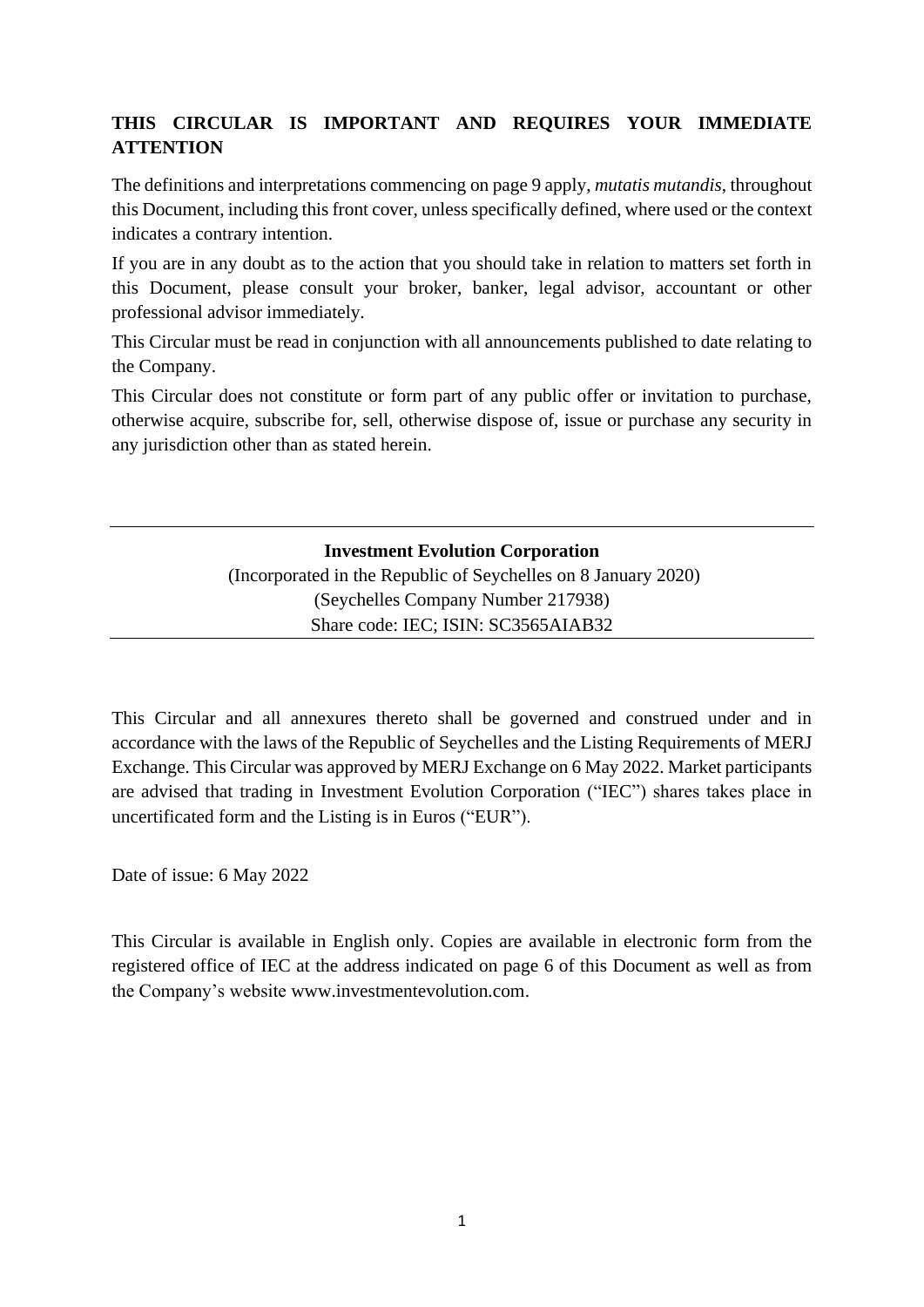# **THIS CIRCULAR IS IMPORTANT AND REQUIRES YOUR IMMEDIATE ATTENTION**

The definitions and interpretations commencing on page 9 apply, *mutatis mutandis*, throughout this Document, including this front cover, unless specifically defined, where used or the context indicates a contrary intention.

If you are in any doubt as to the action that you should take in relation to matters set forth in this Document, please consult your broker, banker, legal advisor, accountant or other professional advisor immediately.

This Circular must be read in conjunction with all announcements published to date relating to the Company.

This Circular does not constitute or form part of any public offer or invitation to purchase, otherwise acquire, subscribe for, sell, otherwise dispose of, issue or purchase any security in any jurisdiction other than as stated herein.

> **Investment Evolution Corporation** (Incorporated in the Republic of Seychelles on 8 January 2020) (Seychelles Company Number 217938) Share code: IEC; ISIN: SC3565AIAB32

This Circular and all annexures thereto shall be governed and construed under and in accordance with the laws of the Republic of Seychelles and the Listing Requirements of MERJ Exchange. This Circular was approved by MERJ Exchange on 6 May 2022. Market participants are advised that trading in Investment Evolution Corporation ("IEC") shares takes place in uncertificated form and the Listing is in Euros ("EUR").

Date of issue: 6 May 2022

This Circular is available in English only. Copies are available in electronic form from the registered office of IEC at the address indicated on page 6 of this Document as well as from the Company's website www.investmentevolution.com.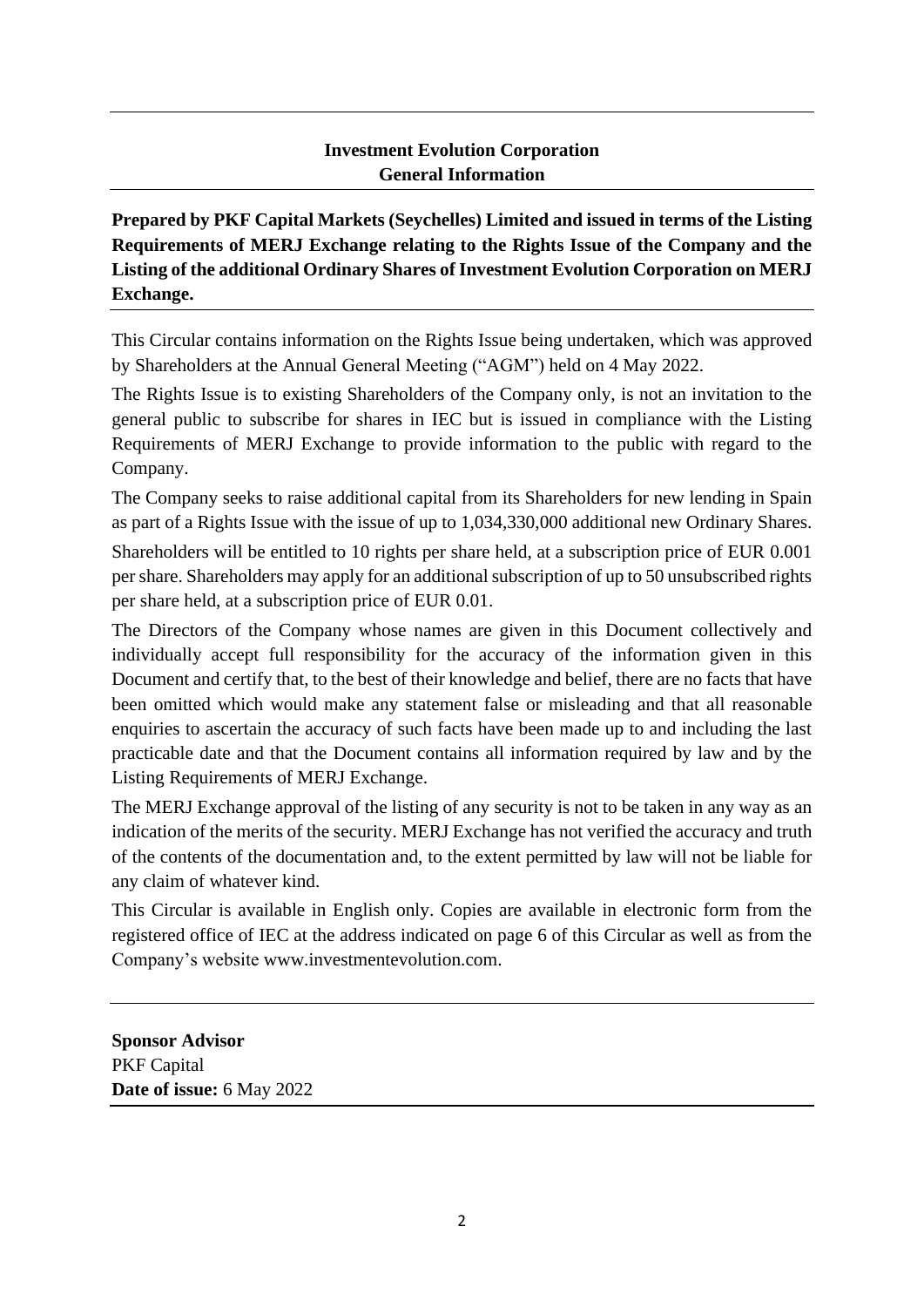# **Investment Evolution Corporation General Information**

**Prepared by PKF Capital Markets (Seychelles) Limited and issued in terms of the Listing Requirements of MERJ Exchange relating to the Rights Issue of the Company and the Listing of the additional Ordinary Shares of Investment Evolution Corporation on MERJ Exchange.**

This Circular contains information on the Rights Issue being undertaken, which was approved by Shareholders at the Annual General Meeting ("AGM") held on 4 May 2022.

The Rights Issue is to existing Shareholders of the Company only, is not an invitation to the general public to subscribe for shares in IEC but is issued in compliance with the Listing Requirements of MERJ Exchange to provide information to the public with regard to the Company.

The Company seeks to raise additional capital from its Shareholders for new lending in Spain as part of a Rights Issue with the issue of up to 1,034,330,000 additional new Ordinary Shares.

Shareholders will be entitled to 10 rights per share held, at a subscription price of EUR 0.001 per share. Shareholders may apply for an additional subscription of up to 50 unsubscribed rights per share held, at a subscription price of EUR 0.01.

The Directors of the Company whose names are given in this Document collectively and individually accept full responsibility for the accuracy of the information given in this Document and certify that, to the best of their knowledge and belief, there are no facts that have been omitted which would make any statement false or misleading and that all reasonable enquiries to ascertain the accuracy of such facts have been made up to and including the last practicable date and that the Document contains all information required by law and by the Listing Requirements of MERJ Exchange.

The MERJ Exchange approval of the listing of any security is not to be taken in any way as an indication of the merits of the security. MERJ Exchange has not verified the accuracy and truth of the contents of the documentation and, to the extent permitted by law will not be liable for any claim of whatever kind.

This Circular is available in English only. Copies are available in electronic form from the registered office of IEC at the address indicated on page 6 of this Circular as well as from the Company's website www.investmentevolution.com.

**Sponsor Advisor** PKF Capital **Date of issue:** 6 May 2022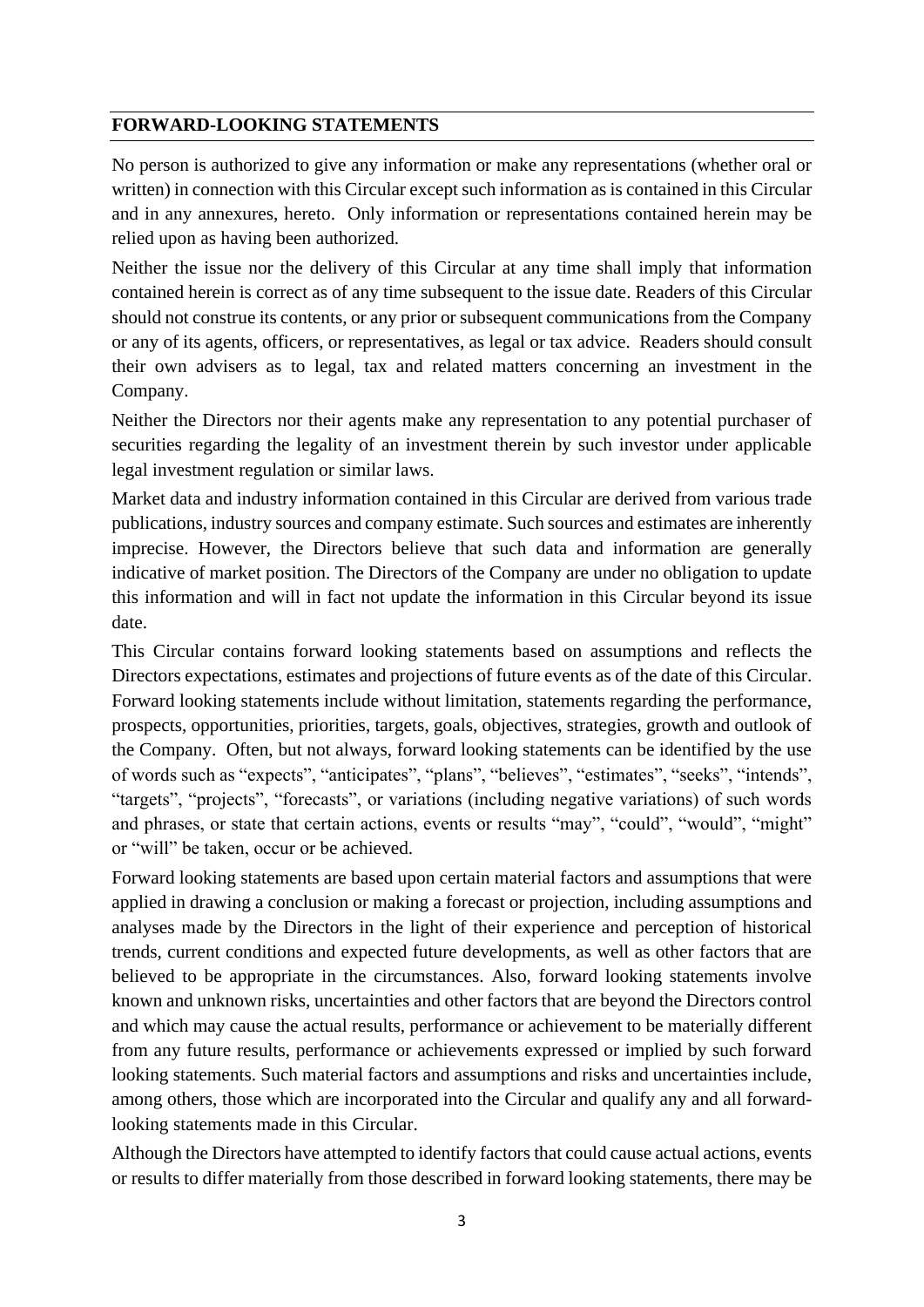## **FORWARD-LOOKING STATEMENTS**

No person is authorized to give any information or make any representations (whether oral or written) in connection with this Circular except such information as is contained in this Circular and in any annexures, hereto. Only information or representations contained herein may be relied upon as having been authorized.

Neither the issue nor the delivery of this Circular at any time shall imply that information contained herein is correct as of any time subsequent to the issue date. Readers of this Circular should not construe its contents, or any prior or subsequent communications from the Company or any of its agents, officers, or representatives, as legal or tax advice. Readers should consult their own advisers as to legal, tax and related matters concerning an investment in the Company.

Neither the Directors nor their agents make any representation to any potential purchaser of securities regarding the legality of an investment therein by such investor under applicable legal investment regulation or similar laws.

Market data and industry information contained in this Circular are derived from various trade publications, industry sources and company estimate. Such sources and estimates are inherently imprecise. However, the Directors believe that such data and information are generally indicative of market position. The Directors of the Company are under no obligation to update this information and will in fact not update the information in this Circular beyond its issue date.

This Circular contains forward looking statements based on assumptions and reflects the Directors expectations, estimates and projections of future events as of the date of this Circular. Forward looking statements include without limitation, statements regarding the performance, prospects, opportunities, priorities, targets, goals, objectives, strategies, growth and outlook of the Company. Often, but not always, forward looking statements can be identified by the use of words such as "expects", "anticipates", "plans", "believes", "estimates", "seeks", "intends", "targets", "projects", "forecasts", or variations (including negative variations) of such words and phrases, or state that certain actions, events or results "may", "could", "would", "might" or "will" be taken, occur or be achieved.

Forward looking statements are based upon certain material factors and assumptions that were applied in drawing a conclusion or making a forecast or projection, including assumptions and analyses made by the Directors in the light of their experience and perception of historical trends, current conditions and expected future developments, as well as other factors that are believed to be appropriate in the circumstances. Also, forward looking statements involve known and unknown risks, uncertainties and other factors that are beyond the Directors control and which may cause the actual results, performance or achievement to be materially different from any future results, performance or achievements expressed or implied by such forward looking statements. Such material factors and assumptions and risks and uncertainties include, among others, those which are incorporated into the Circular and qualify any and all forwardlooking statements made in this Circular.

Although the Directors have attempted to identify factors that could cause actual actions, events or results to differ materially from those described in forward looking statements, there may be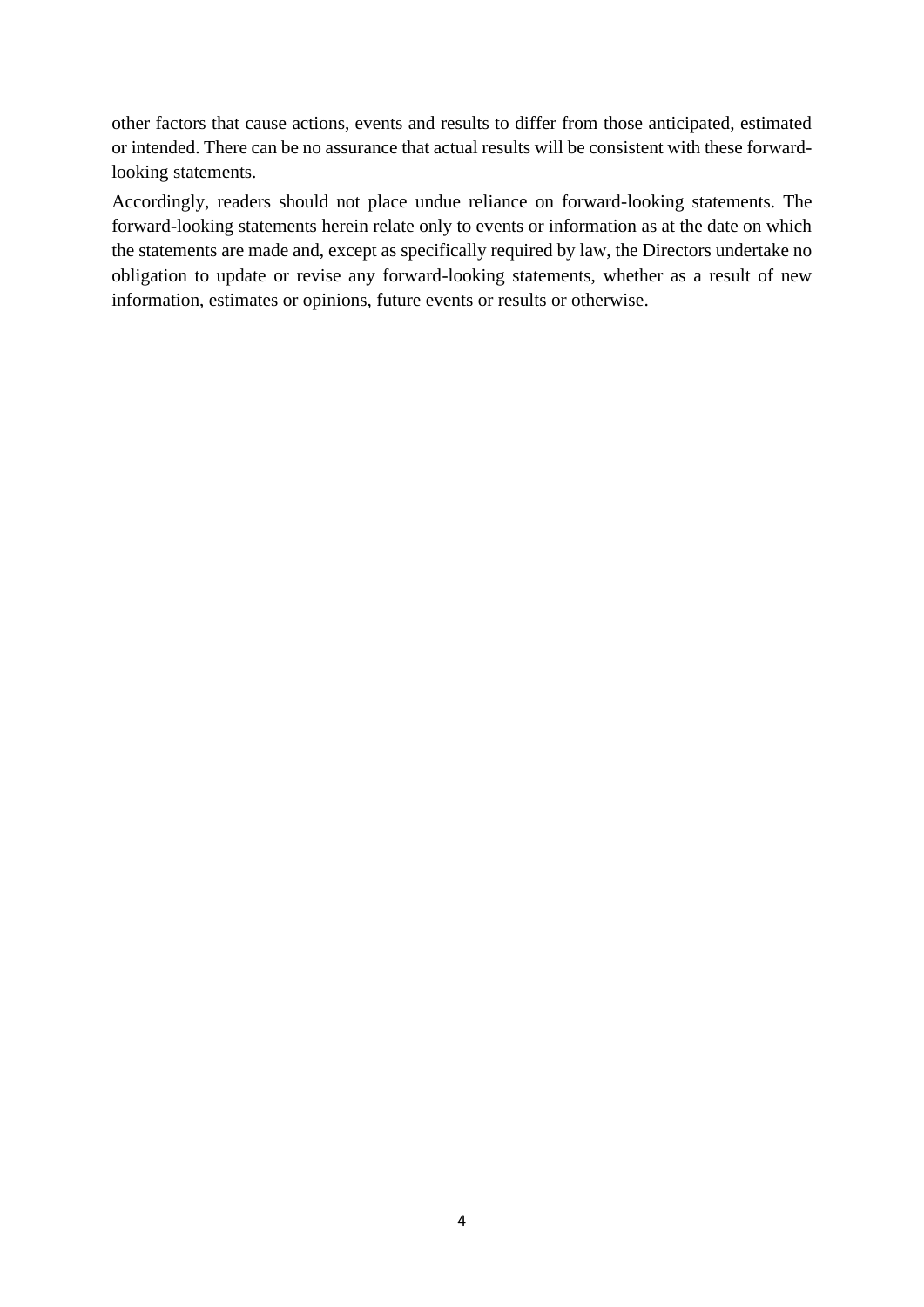other factors that cause actions, events and results to differ from those anticipated, estimated or intended. There can be no assurance that actual results will be consistent with these forwardlooking statements.

Accordingly, readers should not place undue reliance on forward-looking statements. The forward-looking statements herein relate only to events or information as at the date on which the statements are made and, except as specifically required by law, the Directors undertake no obligation to update or revise any forward-looking statements, whether as a result of new information, estimates or opinions, future events or results or otherwise.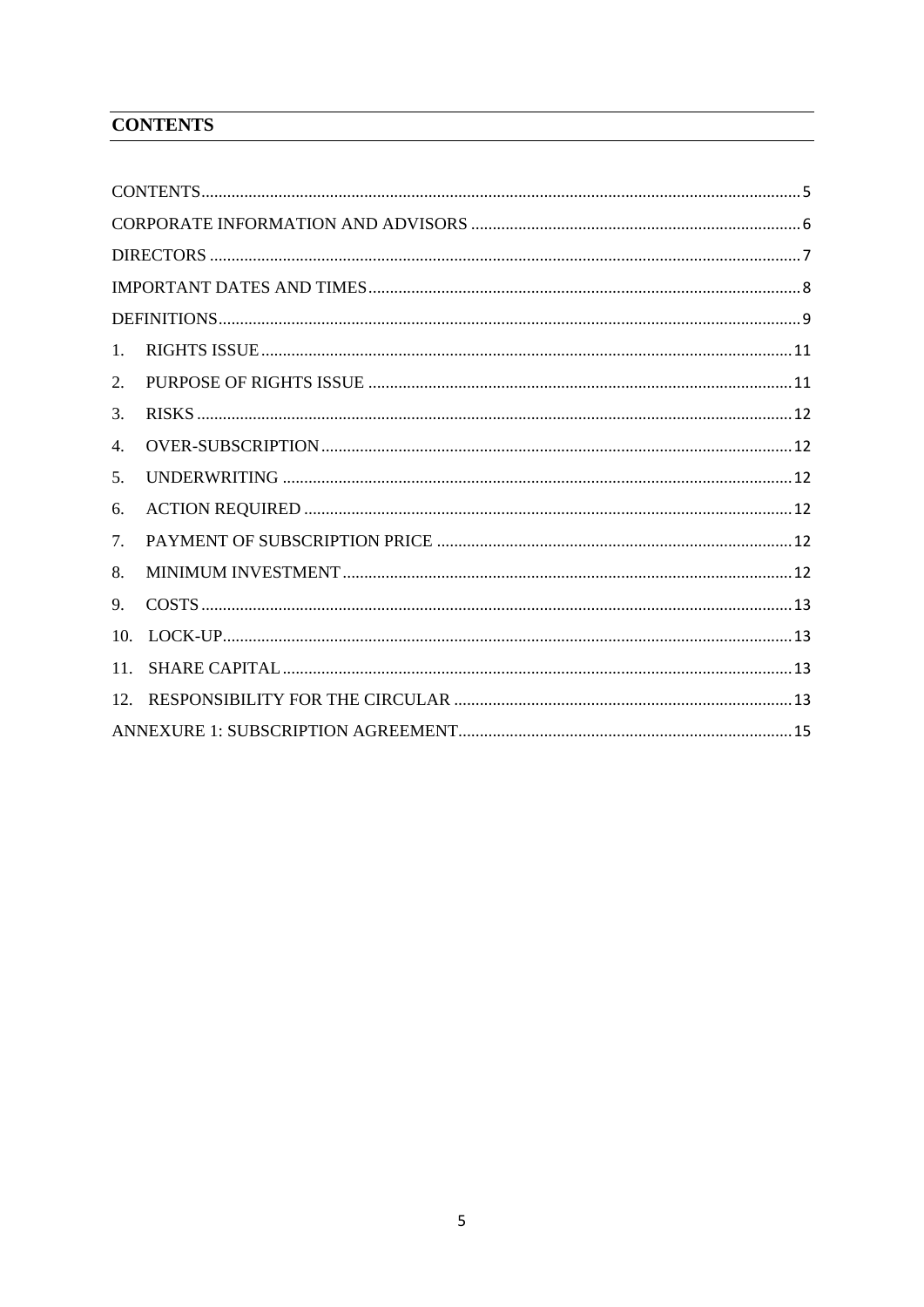# <span id="page-4-0"></span>**CONTENTS**

| 1.              |  |
|-----------------|--|
| 2.              |  |
| 3.              |  |
| 4.              |  |
| 5.              |  |
| 6.              |  |
| 7.              |  |
| 8.              |  |
| 9.              |  |
| 10 <sub>1</sub> |  |
| 11.             |  |
|                 |  |
|                 |  |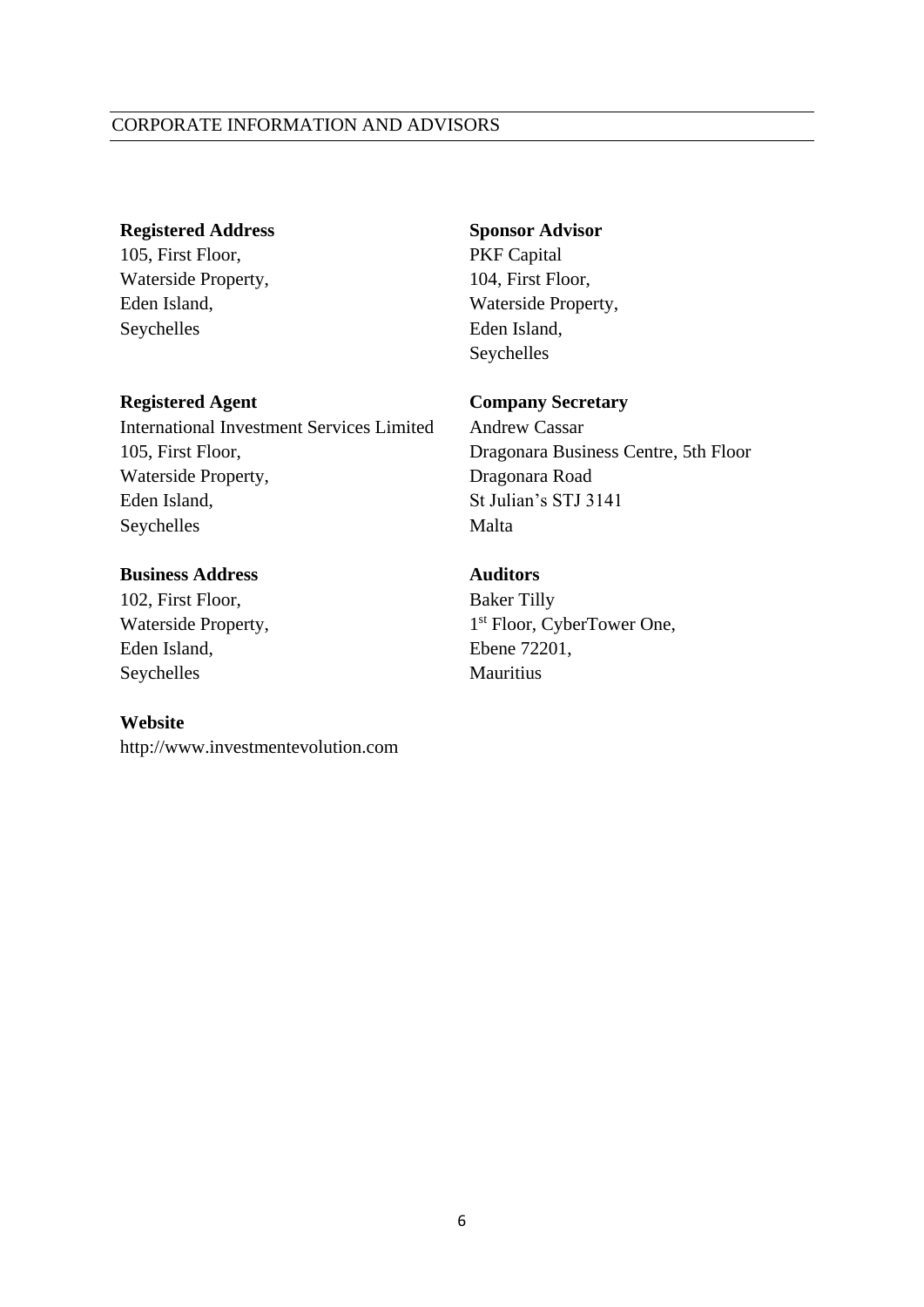### <span id="page-5-0"></span>CORPORATE INFORMATION AND ADVISORS

#### **Registered Address**

105, First Floor, Waterside Property, Eden Island, Seychelles

#### **Registered Agent**

International Investment Services Limited 105, First Floor, Waterside Property, Eden Island, Seychelles

## **Business Address**

102, First Floor, Waterside Property, Eden Island, Seychelles

#### **Website**

http://www.investmentevolution.com

#### **Sponsor Advisor**

PKF Capital 104, First Floor, Waterside Property, Eden Island, Seychelles

#### **Company Secretary**

Andrew Cassar Dragonara Business Centre, 5th Floor Dragonara Road St Julian's STJ 3141 Malta

## **Auditors**

Baker Tilly 1 st Floor, CyberTower One, Ebene 72201, Mauritius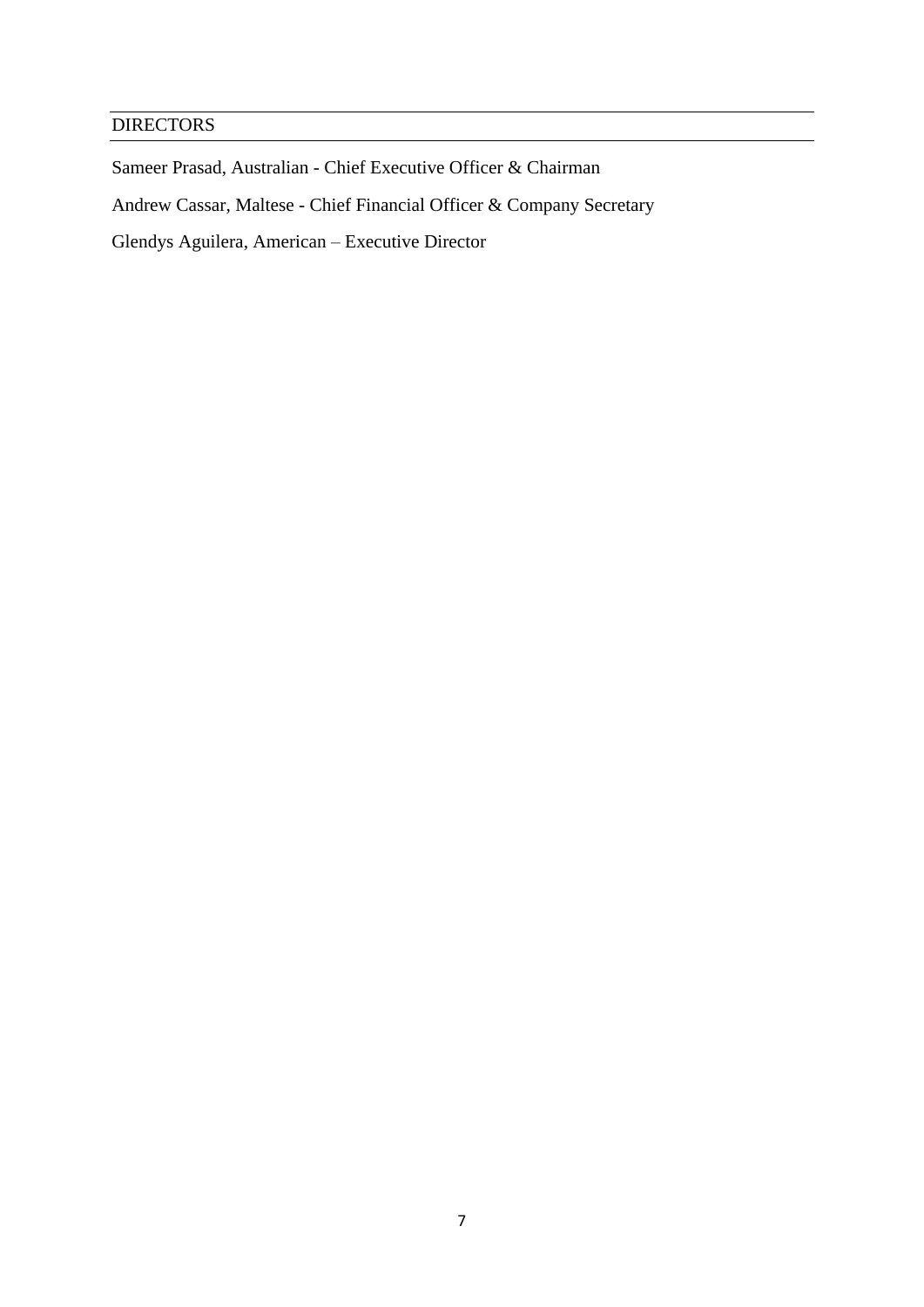# <span id="page-6-0"></span>**DIRECTORS**

Sameer Prasad, Australian - Chief Executive Officer & Chairman

Andrew Cassar, Maltese - Chief Financial Officer & Company Secretary

Glendys Aguilera, American – Executive Director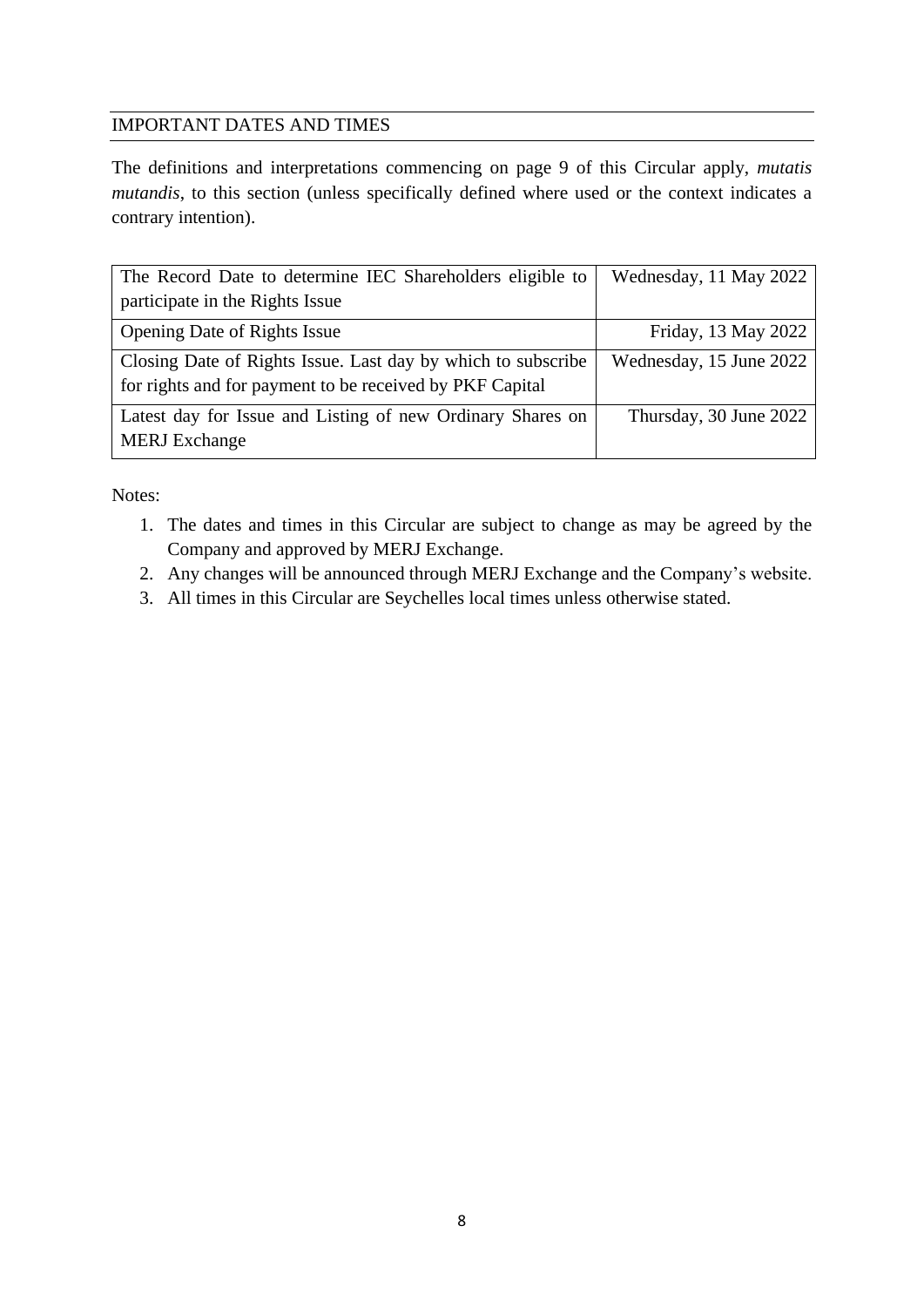## <span id="page-7-0"></span>IMPORTANT DATES AND TIMES

The definitions and interpretations commencing on page 9 of this Circular apply, *mutatis mutandis*, to this section (unless specifically defined where used or the context indicates a contrary intention).

| The Record Date to determine IEC Shareholders eligible to    | Wednesday, 11 May 2022  |
|--------------------------------------------------------------|-------------------------|
| participate in the Rights Issue                              |                         |
| <b>Opening Date of Rights Issue</b>                          | Friday, 13 May 2022     |
| Closing Date of Rights Issue. Last day by which to subscribe | Wednesday, 15 June 2022 |
| for rights and for payment to be received by PKF Capital     |                         |
| Latest day for Issue and Listing of new Ordinary Shares on   | Thursday, 30 June 2022  |
| <b>MERJ</b> Exchange                                         |                         |

Notes:

- 1. The dates and times in this Circular are subject to change as may be agreed by the Company and approved by MERJ Exchange.
- 2. Any changes will be announced through MERJ Exchange and the Company's website.
- 3. All times in this Circular are Seychelles local times unless otherwise stated.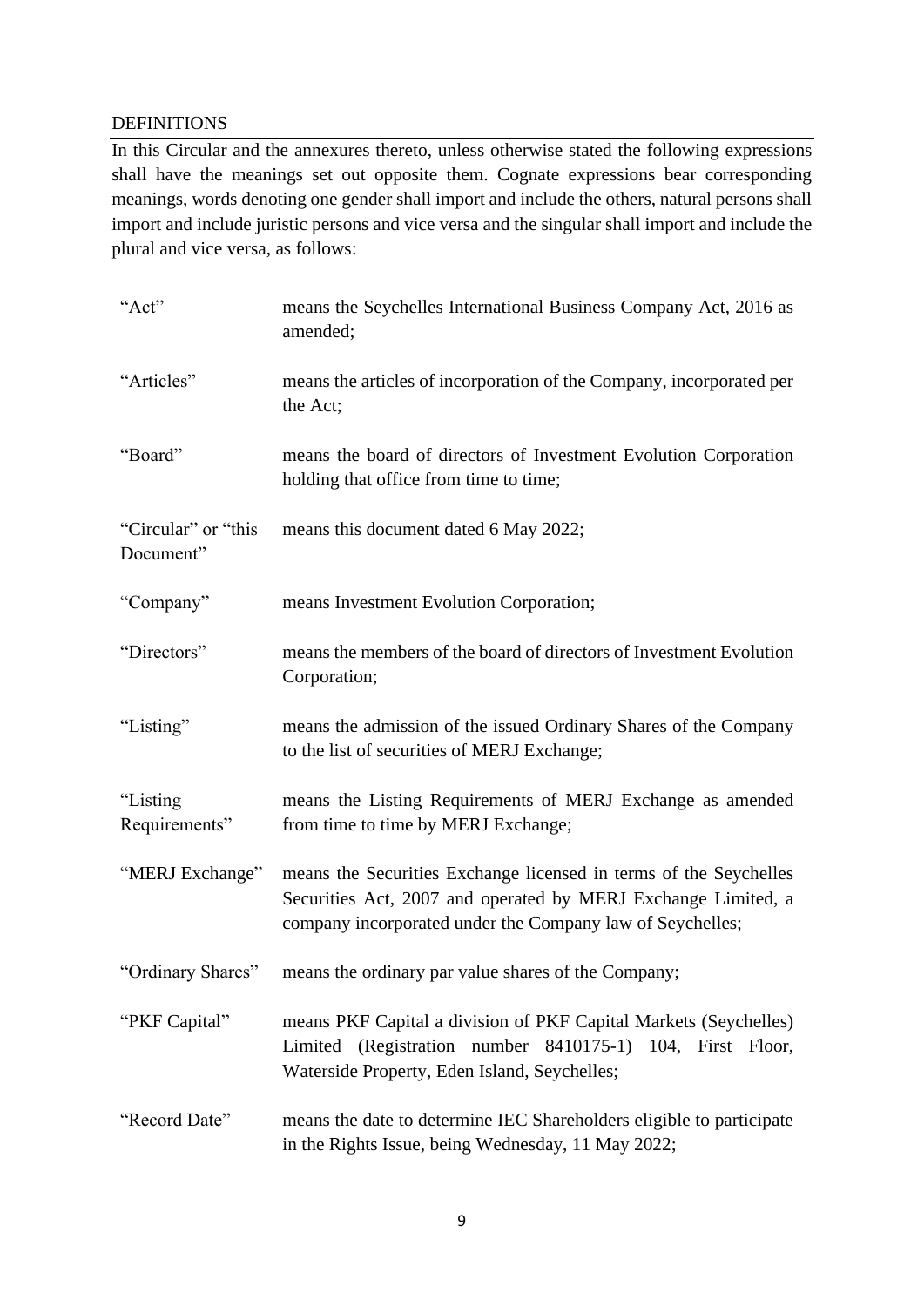## <span id="page-8-0"></span>DEFINITIONS

In this Circular and the annexures thereto, unless otherwise stated the following expressions shall have the meanings set out opposite them. Cognate expressions bear corresponding meanings, words denoting one gender shall import and include the others, natural persons shall import and include juristic persons and vice versa and the singular shall import and include the plural and vice versa, as follows:

| "Act"                            | means the Seychelles International Business Company Act, 2016 as<br>amended;                                                                                                                    |
|----------------------------------|-------------------------------------------------------------------------------------------------------------------------------------------------------------------------------------------------|
| "Articles"                       | means the articles of incorporation of the Company, incorporated per<br>the Act;                                                                                                                |
| "Board"                          | means the board of directors of Investment Evolution Corporation<br>holding that office from time to time;                                                                                      |
| "Circular" or "this<br>Document" | means this document dated 6 May 2022;                                                                                                                                                           |
| "Company"                        | means Investment Evolution Corporation;                                                                                                                                                         |
| "Directors"                      | means the members of the board of directors of Investment Evolution<br>Corporation;                                                                                                             |
| "Listing"                        | means the admission of the issued Ordinary Shares of the Company<br>to the list of securities of MERJ Exchange;                                                                                 |
| "Listing<br>Requirements"        | means the Listing Requirements of MERJ Exchange as amended<br>from time to time by MERJ Exchange;                                                                                               |
| "MERJ Exchange"                  | means the Securities Exchange licensed in terms of the Seychelles<br>Securities Act, 2007 and operated by MERJ Exchange Limited, a<br>company incorporated under the Company law of Seychelles; |
| "Ordinary Shares"                | means the ordinary par value shares of the Company;                                                                                                                                             |
| "PKF Capital"                    | means PKF Capital a division of PKF Capital Markets (Seychelles)<br>Limited (Registration number 8410175-1) 104, First Floor,<br>Waterside Property, Eden Island, Seychelles;                   |
| "Record Date"                    | means the date to determine IEC Shareholders eligible to participate<br>in the Rights Issue, being Wednesday, 11 May 2022;                                                                      |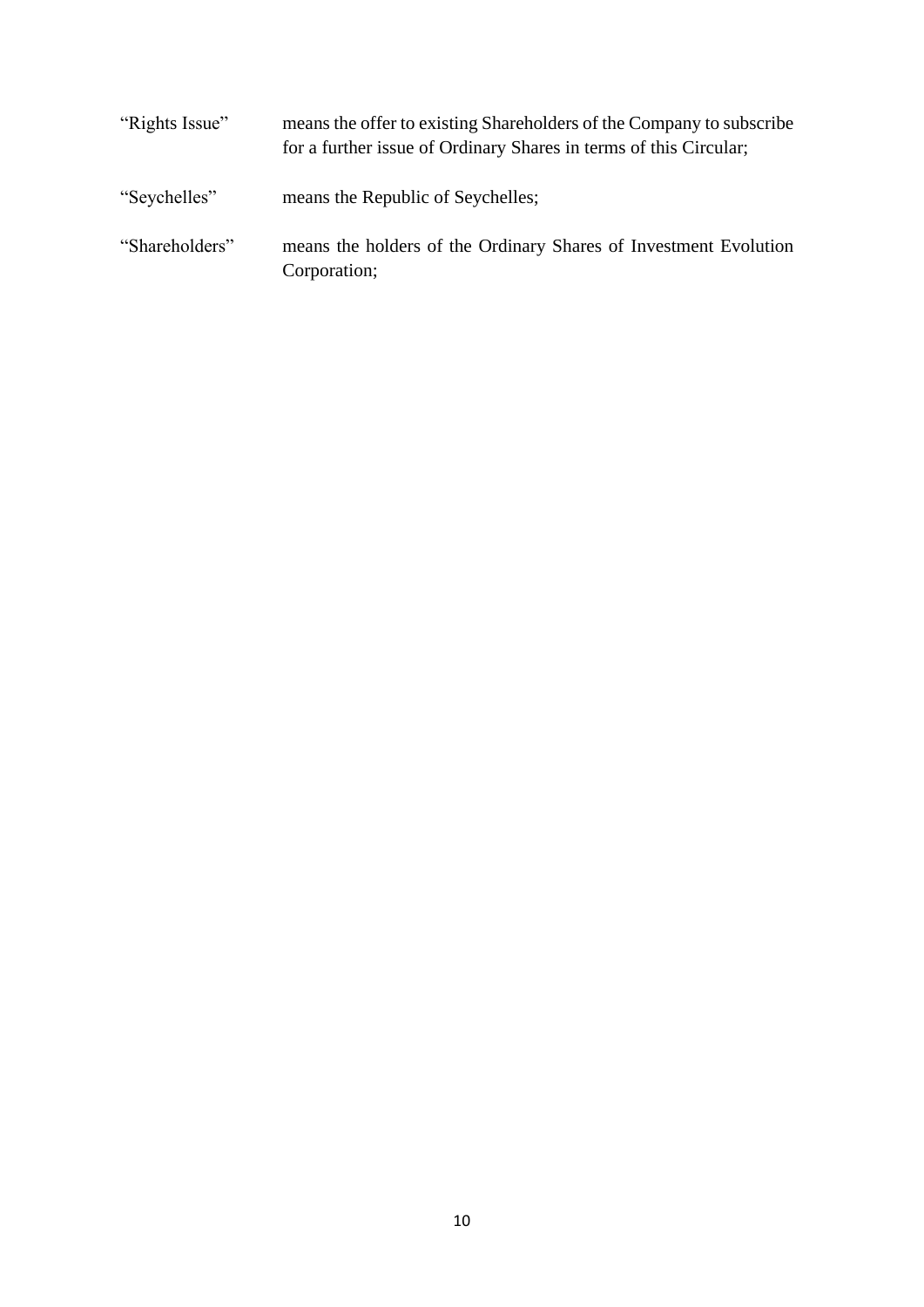| "Rights Issue" | means the offer to existing Shareholders of the Company to subscribe<br>for a further issue of Ordinary Shares in terms of this Circular; |
|----------------|-------------------------------------------------------------------------------------------------------------------------------------------|
| "Seychelles"   | means the Republic of Seychelles;                                                                                                         |
| "Shareholders" | means the holders of the Ordinary Shares of Investment Evolution<br>Corporation;                                                          |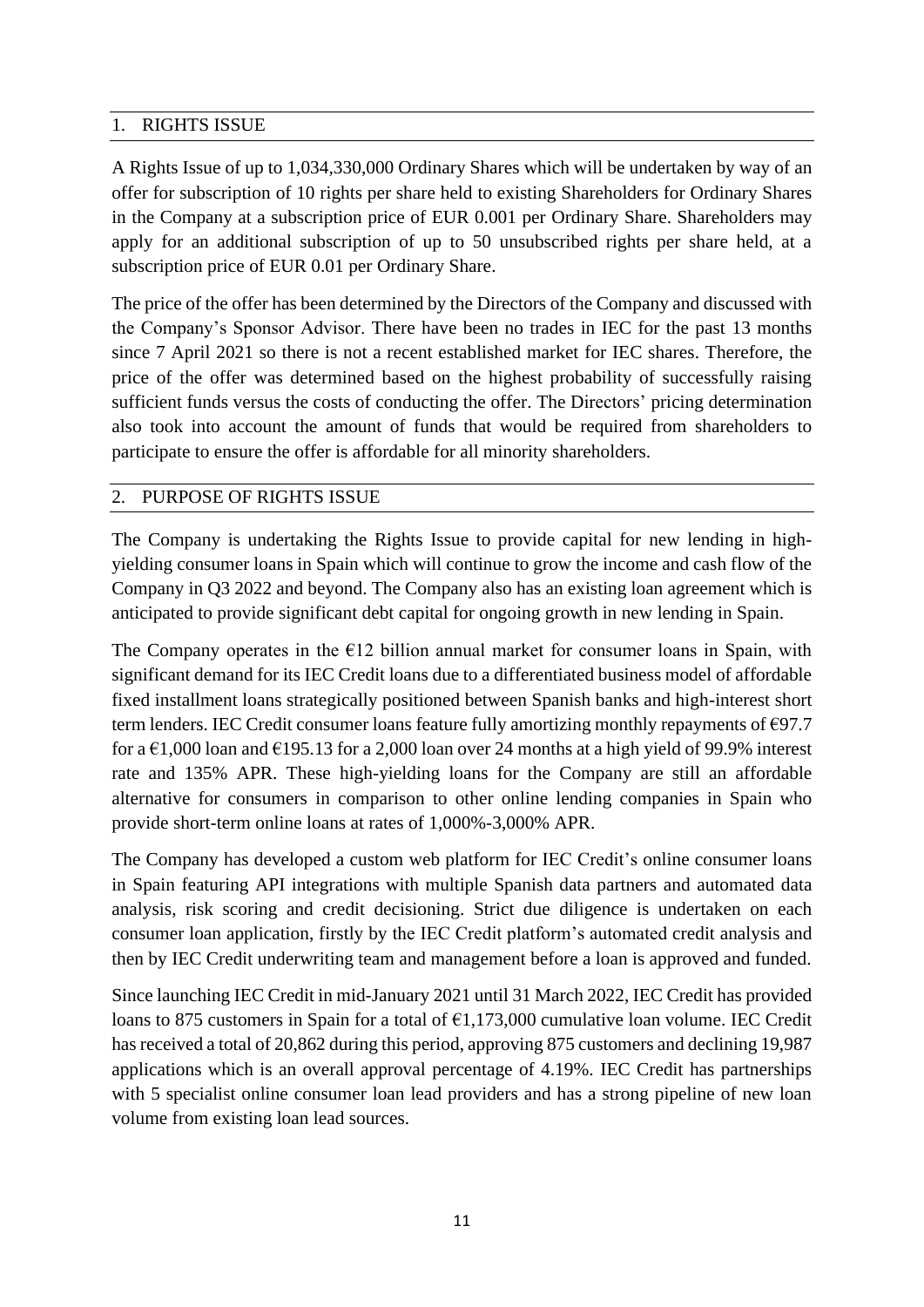## <span id="page-10-0"></span>1. RIGHTS ISSUE

A Rights Issue of up to 1,034,330,000 Ordinary Shares which will be undertaken by way of an offer for subscription of 10 rights per share held to existing Shareholders for Ordinary Shares in the Company at a subscription price of EUR 0.001 per Ordinary Share. Shareholders may apply for an additional subscription of up to 50 unsubscribed rights per share held, at a subscription price of EUR 0.01 per Ordinary Share.

The price of the offer has been determined by the Directors of the Company and discussed with the Company's Sponsor Advisor. There have been no trades in IEC for the past 13 months since 7 April 2021 so there is not a recent established market for IEC shares. Therefore, the price of the offer was determined based on the highest probability of successfully raising sufficient funds versus the costs of conducting the offer. The Directors' pricing determination also took into account the amount of funds that would be required from shareholders to participate to ensure the offer is affordable for all minority shareholders.

## <span id="page-10-1"></span>2. PURPOSE OF RIGHTS ISSUE

The Company is undertaking the Rights Issue to provide capital for new lending in highyielding consumer loans in Spain which will continue to grow the income and cash flow of the Company in Q3 2022 and beyond. The Company also has an existing loan agreement which is anticipated to provide significant debt capital for ongoing growth in new lending in Spain.

The Company operates in the  $E12$  billion annual market for consumer loans in Spain, with significant demand for its IEC Credit loans due to a differentiated business model of affordable fixed installment loans strategically positioned between Spanish banks and high-interest short term lenders. IEC Credit consumer loans feature fully amortizing monthly repayments of €97.7 for a  $\epsilon$ 1,000 loan and  $\epsilon$ 195.13 for a 2,000 loan over 24 months at a high yield of 99.9% interest rate and 135% APR. These high-yielding loans for the Company are still an affordable alternative for consumers in comparison to other online lending companies in Spain who provide short-term online loans at rates of 1,000%-3,000% APR.

The Company has developed a custom web platform for IEC Credit's online consumer loans in Spain featuring API integrations with multiple Spanish data partners and automated data analysis, risk scoring and credit decisioning. Strict due diligence is undertaken on each consumer loan application, firstly by the IEC Credit platform's automated credit analysis and then by IEC Credit underwriting team and management before a loan is approved and funded.

Since launching IEC Credit in mid-January 2021 until 31 March 2022, IEC Credit has provided loans to 875 customers in Spain for a total of €1,173,000 cumulative loan volume. IEC Credit has received a total of 20,862 during this period, approving 875 customers and declining 19,987 applications which is an overall approval percentage of 4.19%. IEC Credit has partnerships with 5 specialist online consumer loan lead providers and has a strong pipeline of new loan volume from existing loan lead sources.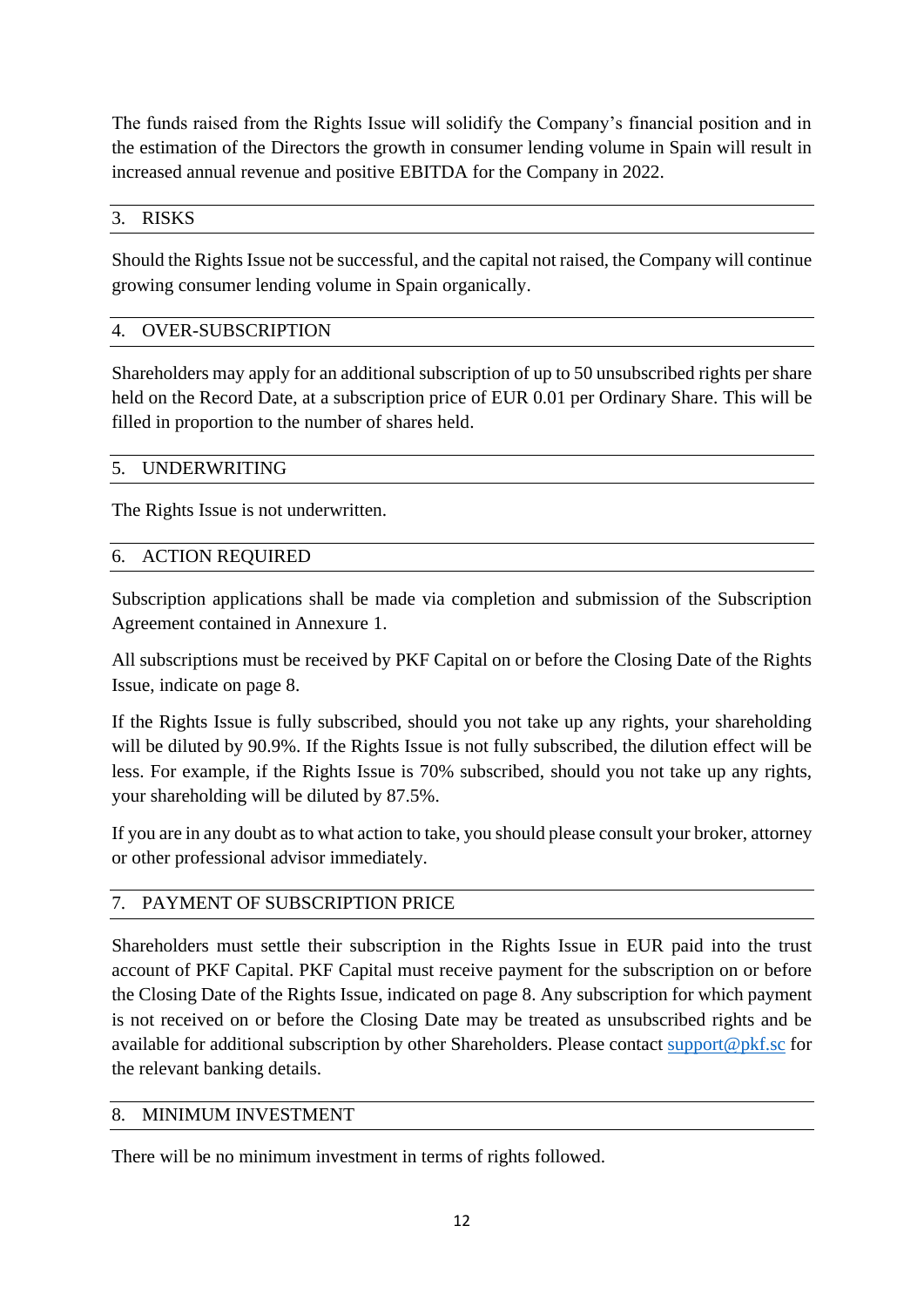The funds raised from the Rights Issue will solidify the Company's financial position and in the estimation of the Directors the growth in consumer lending volume in Spain will result in increased annual revenue and positive EBITDA for the Company in 2022.

## <span id="page-11-0"></span>3. RISKS

Should the Rights Issue not be successful, and the capital not raised, the Company will continue growing consumer lending volume in Spain organically.

## <span id="page-11-1"></span>4. OVER-SUBSCRIPTION

Shareholders may apply for an additional subscription of up to 50 unsubscribed rights per share held on the Record Date, at a subscription price of EUR 0.01 per Ordinary Share. This will be filled in proportion to the number of shares held.

## <span id="page-11-2"></span>5. UNDERWRITING

The Rights Issue is not underwritten.

## <span id="page-11-3"></span>6. ACTION REQUIRED

Subscription applications shall be made via completion and submission of the Subscription Agreement contained in Annexure 1.

All subscriptions must be received by PKF Capital on or before the Closing Date of the Rights Issue, indicate on page 8.

If the Rights Issue is fully subscribed, should you not take up any rights, your shareholding will be diluted by 90.9%. If the Rights Issue is not fully subscribed, the dilution effect will be less. For example, if the Rights Issue is 70% subscribed, should you not take up any rights, your shareholding will be diluted by 87.5%.

If you are in any doubt as to what action to take, you should please consult your broker, attorney or other professional advisor immediately.

## <span id="page-11-4"></span>7. PAYMENT OF SUBSCRIPTION PRICE

Shareholders must settle their subscription in the Rights Issue in EUR paid into the trust account of PKF Capital. PKF Capital must receive payment for the subscription on or before the Closing Date of the Rights Issue, indicated on page 8. Any subscription for which payment is not received on or before the Closing Date may be treated as unsubscribed rights and be available for additional subscription by other Shareholders. Please contact [support@pkf.sc](mailto:support@pkf.sc) for the relevant banking details.

## <span id="page-11-5"></span>8. MINIMUM INVESTMENT

There will be no minimum investment in terms of rights followed.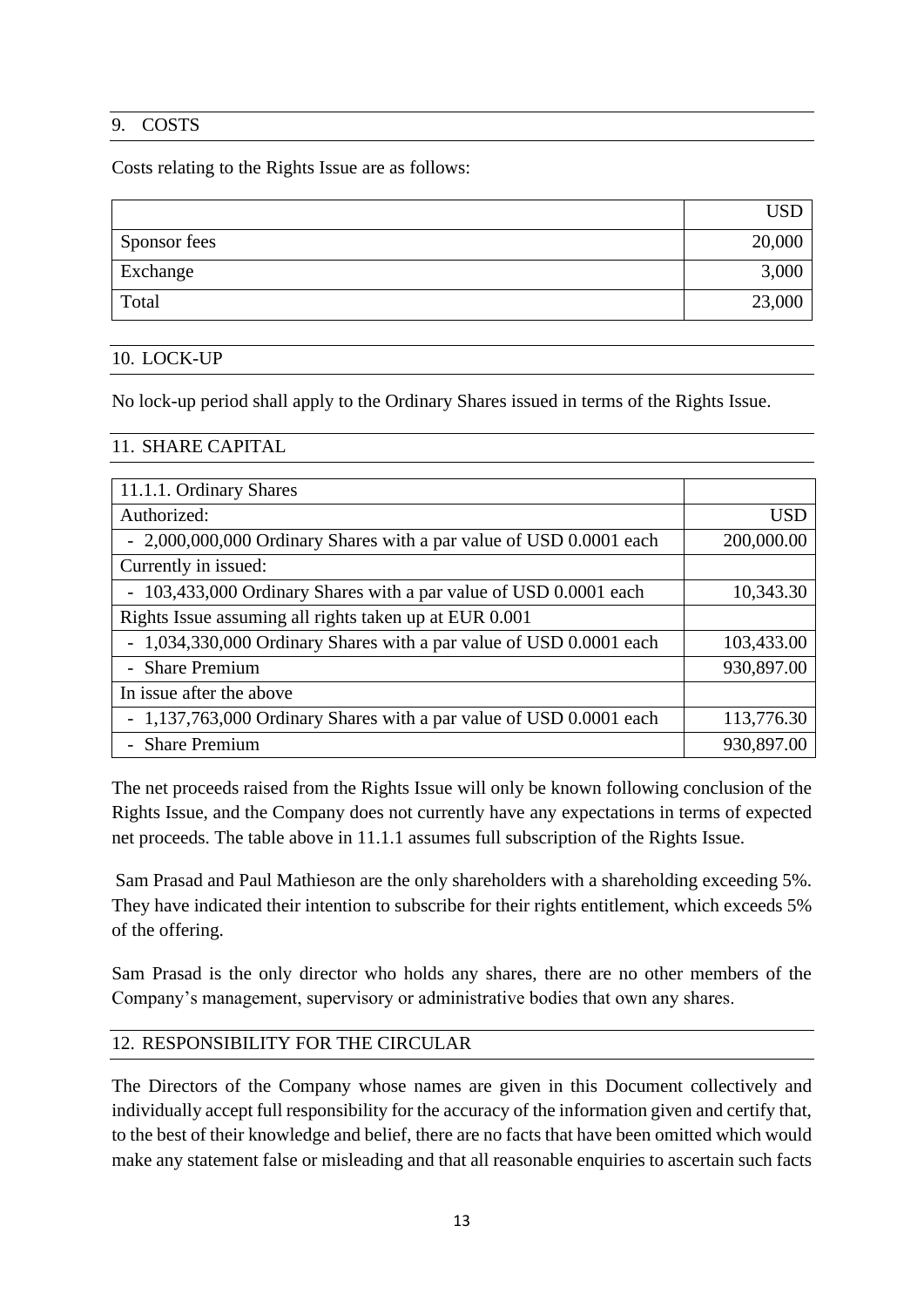## <span id="page-12-0"></span>9. COSTS

Costs relating to the Rights Issue are as follows:

| Sponsor fees | 20,000 |
|--------------|--------|
| Exchange     | 3,000  |
| Total        | 23,000 |

## <span id="page-12-1"></span>10. LOCK-UP

No lock-up period shall apply to the Ordinary Shares issued in terms of the Rights Issue.

## <span id="page-12-2"></span>11. SHARE CAPITAL

| 11.1.1. Ordinary Shares                                             |            |
|---------------------------------------------------------------------|------------|
| Authorized:                                                         | <b>USD</b> |
| - 2,000,000,000 Ordinary Shares with a par value of USD 0.0001 each | 200,000.00 |
| Currently in issued:                                                |            |
| 103,433,000 Ordinary Shares with a par value of USD 0.0001 each     | 10,343.30  |
| Rights Issue assuming all rights taken up at EUR 0.001              |            |
| - 1,034,330,000 Ordinary Shares with a par value of USD 0.0001 each | 103,433.00 |
| - Share Premium                                                     | 930,897.00 |
| In issue after the above                                            |            |
| - 1,137,763,000 Ordinary Shares with a par value of USD 0.0001 each | 113,776.30 |
| - Share Premium                                                     | 930,897.00 |

The net proceeds raised from the Rights Issue will only be known following conclusion of the Rights Issue, and the Company does not currently have any expectations in terms of expected net proceeds. The table above in 11.1.1 assumes full subscription of the Rights Issue.

Sam Prasad and Paul Mathieson are the only shareholders with a shareholding exceeding 5%. They have indicated their intention to subscribe for their rights entitlement, which exceeds 5% of the offering.

Sam Prasad is the only director who holds any shares, there are no other members of the Company's management, supervisory or administrative bodies that own any shares.

## <span id="page-12-3"></span>12. RESPONSIBILITY FOR THE CIRCULAR

The Directors of the Company whose names are given in this Document collectively and individually accept full responsibility for the accuracy of the information given and certify that, to the best of their knowledge and belief, there are no facts that have been omitted which would make any statement false or misleading and that all reasonable enquiries to ascertain such facts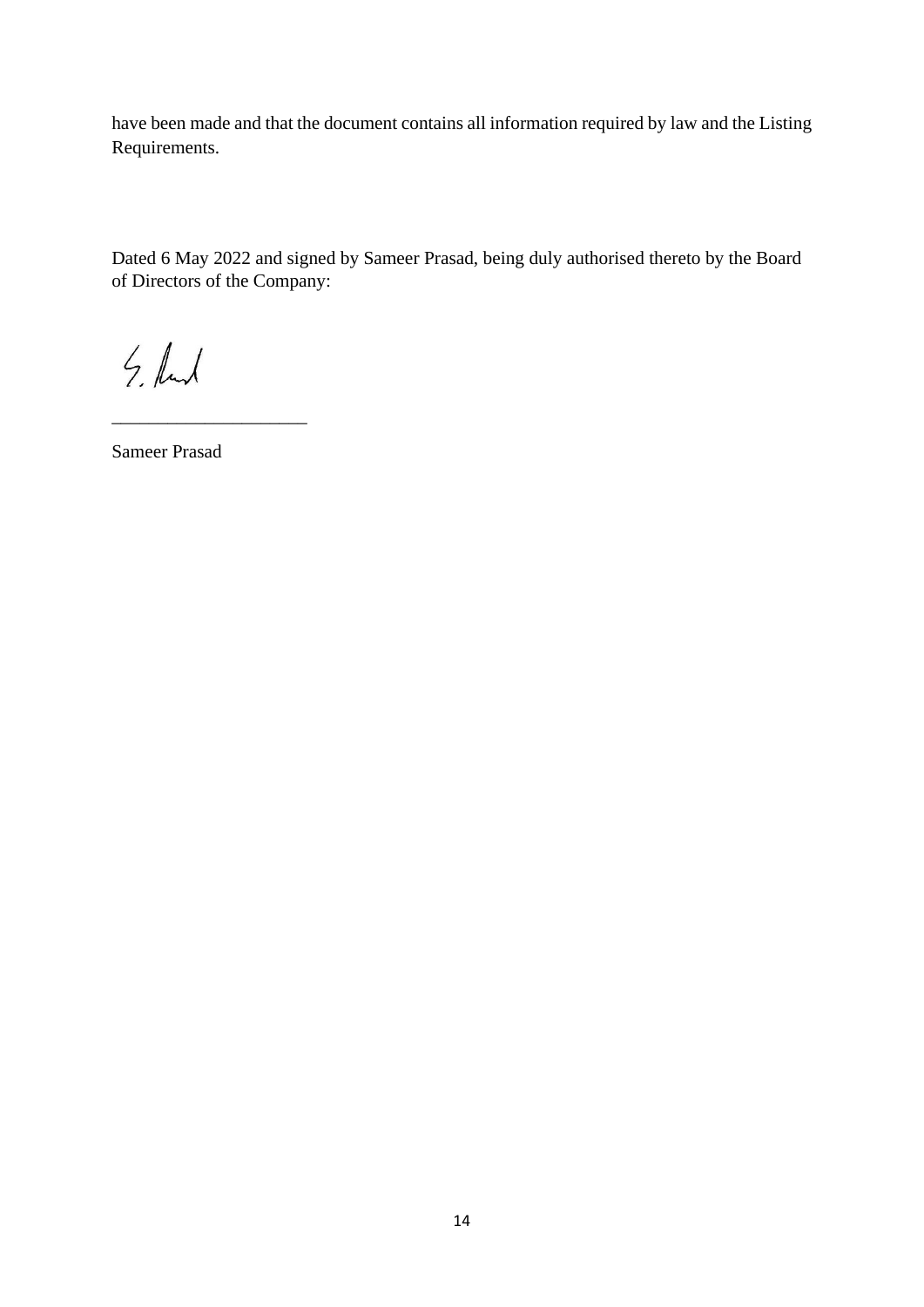have been made and that the document contains all information required by law and the Listing Requirements.

Dated 6 May 2022 and signed by Sameer Prasad, being duly authorised thereto by the Board of Directors of the Company:

 $5.$  kml

Sameer Prasad

\_\_\_\_\_\_\_\_\_\_\_\_\_\_\_\_\_\_\_\_\_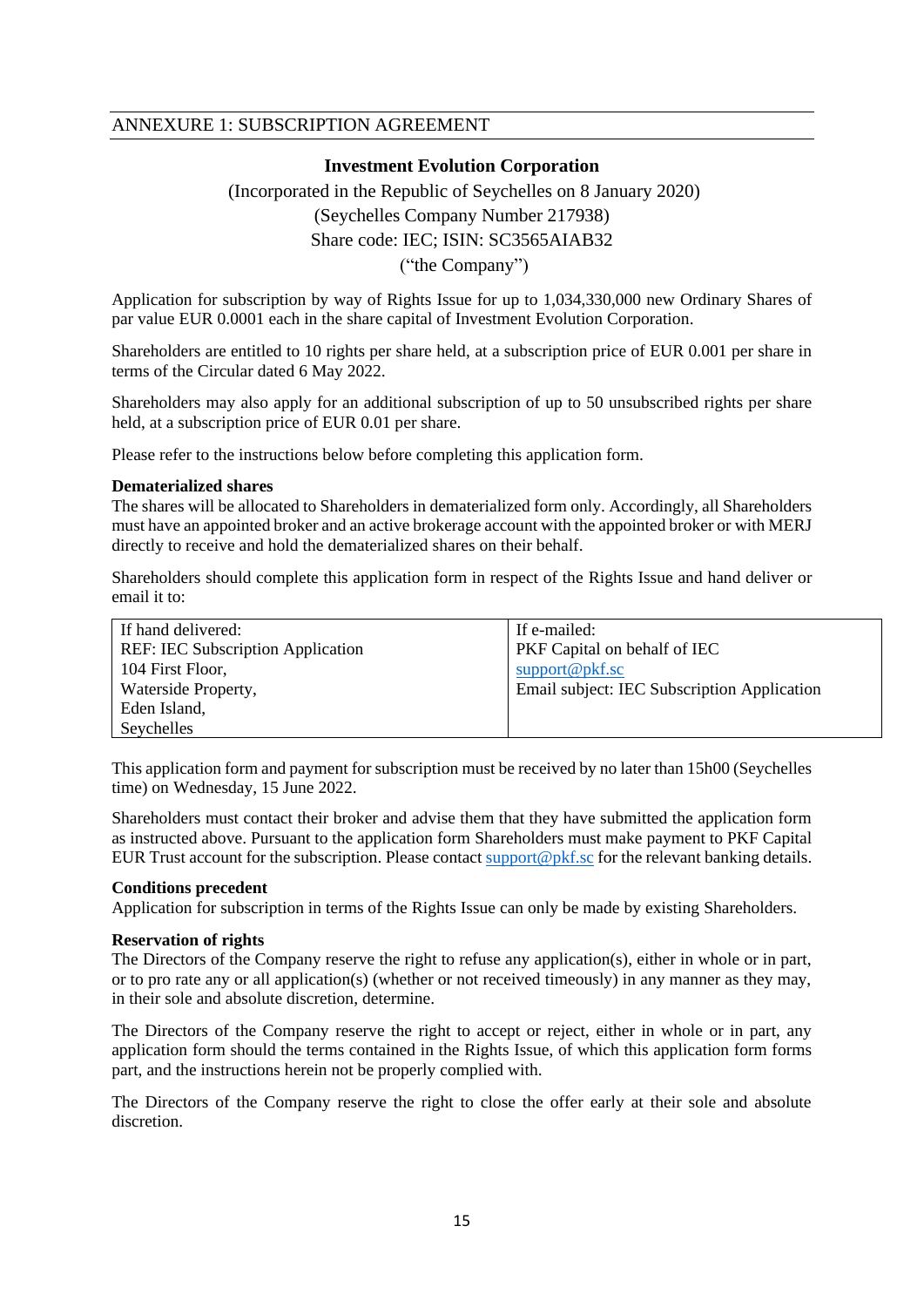#### <span id="page-14-0"></span>ANNEXURE 1: SUBSCRIPTION AGREEMENT

## **Investment Evolution Corporation** (Incorporated in the Republic of Seychelles on 8 January 2020) (Seychelles Company Number 217938) Share code: IEC; ISIN: SC3565AIAB32

("the Company")

Application for subscription by way of Rights Issue for up to 1,034,330,000 new Ordinary Shares of par value EUR 0.0001 each in the share capital of Investment Evolution Corporation.

Shareholders are entitled to 10 rights per share held, at a subscription price of EUR 0.001 per share in terms of the Circular dated 6 May 2022.

Shareholders may also apply for an additional subscription of up to 50 unsubscribed rights per share held, at a subscription price of EUR 0.01 per share.

Please refer to the instructions below before completing this application form.

#### **Dematerialized shares**

The shares will be allocated to Shareholders in dematerialized form only. Accordingly, all Shareholders must have an appointed broker and an active brokerage account with the appointed broker or with MERJ directly to receive and hold the dematerialized shares on their behalf.

Shareholders should complete this application form in respect of the Rights Issue and hand deliver or email it to:

| If hand delivered:                       | If e-mailed:                                |
|------------------------------------------|---------------------------------------------|
| <b>REF: IEC Subscription Application</b> | <b>PKF</b> Capital on behalf of IEC         |
| 104 First Floor,                         | $support@pkf$ .sc                           |
| <b>Waterside Property,</b>               | Email subject: IEC Subscription Application |
| Eden Island,                             |                                             |
| Seychelles                               |                                             |

This application form and payment for subscription must be received by no later than 15h00 (Seychelles time) on Wednesday, 15 June 2022.

Shareholders must contact their broker and advise them that they have submitted the application form as instructed above. Pursuant to the application form Shareholders must make payment to PKF Capital EUR Trust account for the subscription. Please contact support @pkf.sc for the relevant banking details.

#### **Conditions precedent**

Application for subscription in terms of the Rights Issue can only be made by existing Shareholders.

#### **Reservation of rights**

The Directors of the Company reserve the right to refuse any application(s), either in whole or in part, or to pro rate any or all application(s) (whether or not received timeously) in any manner as they may, in their sole and absolute discretion, determine.

The Directors of the Company reserve the right to accept or reject, either in whole or in part, any application form should the terms contained in the Rights Issue, of which this application form forms part, and the instructions herein not be properly complied with.

The Directors of the Company reserve the right to close the offer early at their sole and absolute discretion.